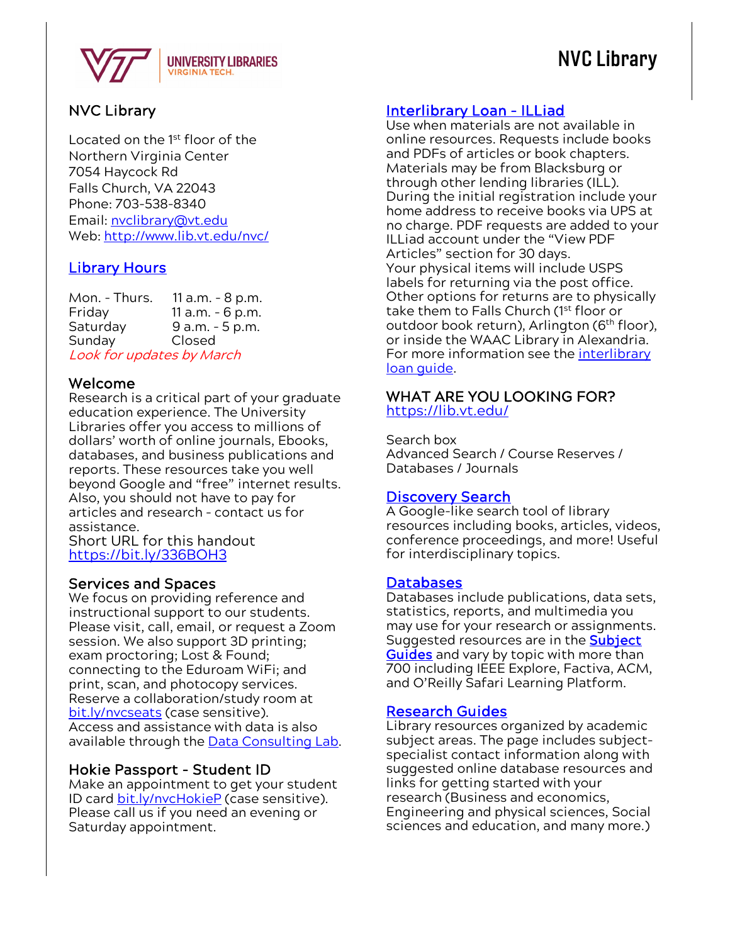

## NVC Library

### NVC Library

Located on the 1st floor of the Northern Virginia Center 7054 Haycock Rd Falls Church, VA 22043 Phone: 703-538-8340 Email: [nvclibrary@vt.edu](mailto:nvclibrary@vt.edu) Web:<http://www.lib.vt.edu/nvc/>

### **Library Hours**

Mon. - Thurs. 11 a.m. – 8 p.m. Friday 11 a.m. – 6 p.m. Saturday 9 a.m. - 5 p.m.<br>Sunday Closed Sunday Look for updates by March

### Welcome

Research is a critical part of your graduate education experience. The University Libraries offer you access to millions of dollars' worth of online journals, Ebooks, databases, and business publications and reports. These resources take you well beyond Google and "free" internet results. Also, you should not have to pay for articles and research – contact us for assistance. Short URL for this handout

<https://bit.ly/336BOH3>

Services and Spaces<br>We focus on providing reference and instructional support to our students. Please visit, call, email, or request a Zoom session. We also support 3D printing; exam proctoring; Lost & Found; connecting to the Eduroam WiFi; and print, scan, and photocopy services. Reserve a collaboration/study room at [bit.ly/nvcseats](https://bit.ly/nvcseats) (case sensitive). Access and assistance with data is also available through the **Data Consulting Lab.** 

**Hokie Passport - Student ID**<br>Make an appointment to get your student ID card [bit.ly/nvcHokieP](https://calendar.lib.vt.edu/appointments/nvc-library) (case sensitive). Please call us if you need an evening or Saturday appointment.

### [Interlibrary Loan - ILLiad](http://vt.hosts.atlas-sys.com/logon)

Use when materials are not available in online resources. Requests include books and PDFs of articles or book chapters. Materials may be from Blacksburg or through other lending libraries (ILL). During the initial registration include your home address to receive books via UPS at no charge. PDF requests are added to your ILLiad account under the "View PDF Articles" section for 30 days. Your physical items will include USPS labels for returning via the post office. Other options for returns are to physically take them to Falls Church (1<sup>st</sup> floor or outdoor book return), Arlington (6<sup>th</sup> floor), or inside the WAAC Library in Alexandria. For more information see the [interlibrary](https://guides.lib.vt.edu/ill)  [loan guide.](https://guides.lib.vt.edu/ill)

#### WHAT ARE YOU LOOKING FOR? <https://lib.vt.edu/>

Search box Advanced Search / Course Reserves / Databases / Journals

#### **Discovery Search**

A Google-like search tool of library resources including books, articles, videos, conference proceedings, and more! Useful for interdisciplinary topics.

#### **Databases**

Databases include publications, data sets, statistics, reports, and multimedia you may use for your research or assignments. Suggested resources are in the **Subject** [Guides](https://guides.lib.vt.edu/subject-guides?group_id=264) and vary by topic with more than 700 including IEEE Explore, Factiva, ACM, and O'Reilly Safari Learning Platform.

<mark>Research Guides</mark><br>Library resources organized by academic subject areas. The page includes subjectspecialist contact information along with suggested online database resources and links for getting started with your research (Business and economics, Engineering and physical sciences, Social sciences and education, and many more.)